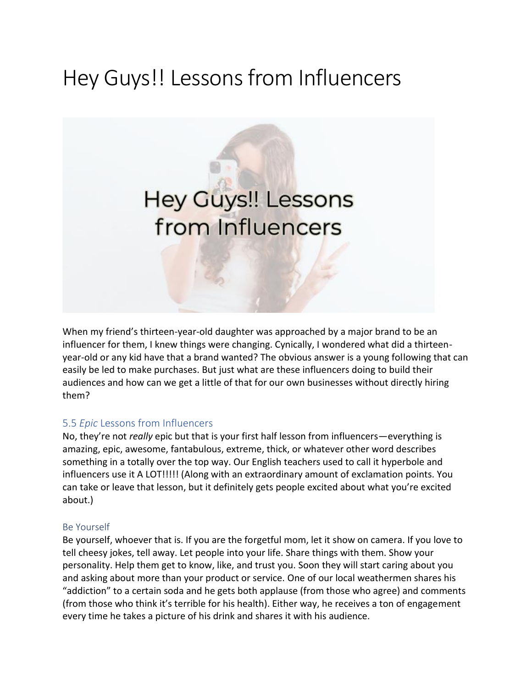# Hey Guys!! Lessons from Influencers



When my friend's thirteen-year-old daughter was approached by a major brand to be an influencer for them, I knew things were changing. Cynically, I wondered what did a thirteenyear-old or any kid have that a brand wanted? The obvious answer is a young following that can easily be led to make purchases. But just what are these influencers doing to build their audiences and how can we get a little of that for our own businesses without directly hiring them?

# 5.5 *Epic* Lessons from Influencers

No, they're not *really* epic but that is your first half lesson from influencers—everything is amazing, epic, awesome, fantabulous, extreme, thick, or whatever other word describes something in a totally over the top way. Our English teachers used to call it hyperbole and influencers use it A LOT!!!!! (Along with an extraordinary amount of exclamation points. You can take or leave that lesson, but it definitely gets people excited about what you're excited about.)

#### Be Yourself

Be yourself, whoever that is. If you are the forgetful mom, let it show on camera. If you love to tell cheesy jokes, tell away. Let people into your life. Share things with them. Show your personality. Help them get to know, like, and trust you. Soon they will start caring about you and asking about more than your product or service. One of our local weathermen shares his "addiction" to a certain soda and he gets both applause (from those who agree) and comments (from those who think it's terrible for his health). Either way, he receives a ton of engagement every time he takes a picture of his drink and shares it with his audience.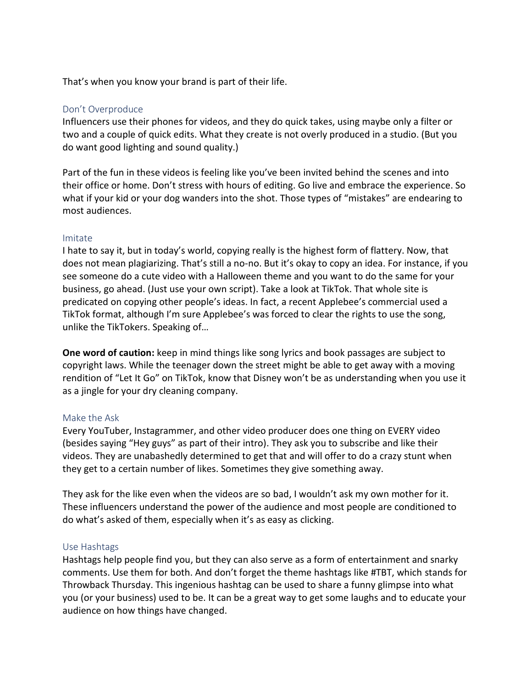That's when you know your brand is part of their life.

#### Don't Overproduce

Influencers use their phones for videos, and they do quick takes, using maybe only a filter or two and a couple of quick edits. What they create is not overly produced in a studio. (But you do want good lighting and sound quality.)

Part of the fun in these videos is feeling like you've been invited behind the scenes and into their office or home. Don't stress with hours of editing. Go live and embrace the experience. So what if your kid or your dog wanders into the shot. Those types of "mistakes" are endearing to most audiences.

#### Imitate

I hate to say it, but in today's world, copying really is the highest form of flattery. Now, that does not mean plagiarizing. That's still a no-no. But it's okay to copy an idea. For instance, if you see someone do a cute video with a Halloween theme and you want to do the same for your business, go ahead. (Just use your own script). Take a look at TikTok. That whole site is predicated on copying other people's ideas. In fact, a recent Applebee's commercial used a TikTok format, although I'm sure Applebee's was forced to clear the rights to use the song, unlike the TikTokers. Speaking of…

**One word of caution:** keep in mind things like song lyrics and book passages are subject to copyright laws. While the teenager down the street might be able to get away with a moving rendition of "Let It Go" on TikTok, know that Disney won't be as understanding when you use it as a jingle for your dry cleaning company.

## Make the Ask

Every YouTuber, Instagrammer, and other video producer does one thing on EVERY video (besides saying "Hey guys" as part of their intro). They ask you to subscribe and like their videos. They are unabashedly determined to get that and will offer to do a crazy stunt when they get to a certain number of likes. Sometimes they give something away.

They ask for the like even when the videos are so bad, I wouldn't ask my own mother for it. These influencers understand the power of the audience and most people are conditioned to do what's asked of them, especially when it's as easy as clicking.

## Use Hashtags

Hashtags help people find you, but they can also serve as a form of entertainment and snarky comments. Use them for both. And don't forget the theme hashtags like #TBT, which stands for Throwback Thursday. This ingenious hashtag can be used to share a funny glimpse into what you (or your business) used to be. It can be a great way to get some laughs and to educate your audience on how things have changed.